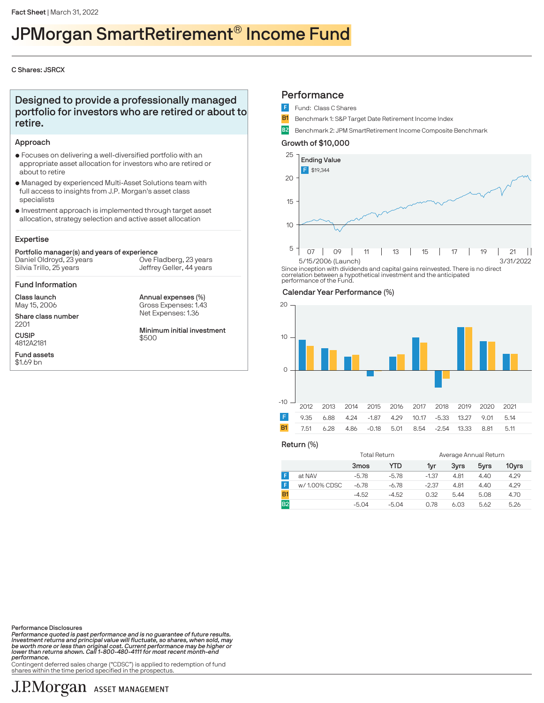## JPMorgan SmartRetirement® Income Fund

## C Shares: JSRCX

## Designed to provide a professionally managed portfolio for investors who are retired or about to retire.

## Approach

- $\bullet$  Focuses on delivering a well-diversified portfolio with an appropriate asset allocation for investors who are retired or about to retire
- $\bullet$  Managed by experienced Multi-Asset Solutions team with full access to insights from J.P. Morgan's asset class specialists
- $\bullet$  Investment approach is implemented through target asset allocation, strategy selection and active asset allocation

## Expertise

#### Portfolio manager(s) and years of experience Silvia Trillo, 25 years Daniel Oldroyd, 23 years Ove Fladberg, 23 years

Jeffrey Geller, 44 years

Annual expenses (%)

#### Fund Information

Class launch May 15, 2006

Fund assets \$1.69 bn

Share class number 2201 **CUSIP** 4812A2181

Net Expenses: 1.36 Gross Expenses: 1.43 Minimum initial investment \$500

## **Performance**

- Fund: Class C Shares
- **B1** Benchmark 1: S&P Target Date Retirement Income Index
- B2 Benchmark 2: JPM SmartRetirement Income Composite Benchmark

## Growth of \$10,000



Since inception with dividends and capital gains reinvested. There is no direct correlation between a hypothetical investment and the anticipated performance of the Fund.

#### Calendar Year Performance (%)



Return (%)

|                |              | Total Return     |         |         | Average Annual Return |                  |       |
|----------------|--------------|------------------|---------|---------|-----------------------|------------------|-------|
|                |              | 3 <sub>mos</sub> | YTD     | 1yr     | 3vrs                  | 5 <sub>vrs</sub> | 10yrs |
| F              | at NAV       | $-5.78$          | $-5.78$ | $-1.37$ | 4.81                  | 4.40             | 4.29  |
| F              | w/1.00% CDSC | $-6.78$          | $-6.78$ | $-2.37$ | 4.81                  | 4.40             | 4.29  |
| <b>B1</b>      |              | $-4.52$          | $-4.52$ | 0.32    | 5.44                  | 5.08             | 4.70  |
| B <sub>2</sub> |              | $-5.04$          | $-5.04$ | 0.78    | 6.03                  | 5.62             | 5.26  |
|                |              |                  |         |         |                       |                  |       |

Performance Disclosures

Performance quoted is past performance and is no guarantee of future results. Investment returns and principal value will fluctuate, so shares, when sold, may be worth more or less than original cost. Current performance may be higher or lower than returns shown. Call 1-800-480-4111 for most recent month-end performance.

Contingent deferred sales charge ("CDSC") is applied to redemption of fund shares within the time period specified in the prospectus.